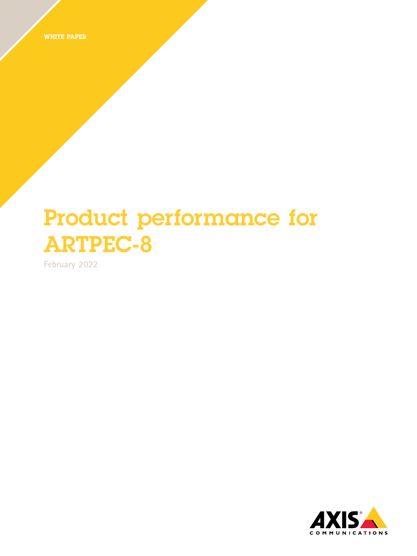WHITE PAPER

# Product performance for ARTPEC-8

**February 2022**

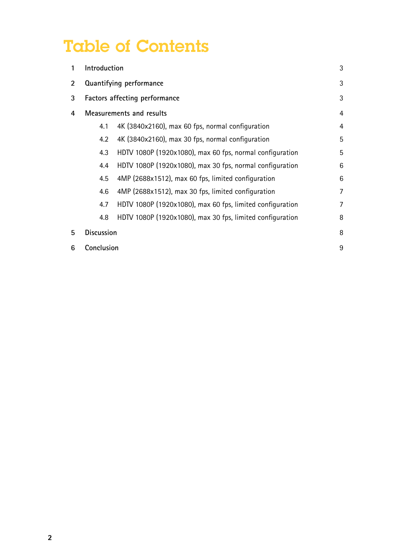## Table of Contents

| 1              | Introduction                  |                                                           | 3 |
|----------------|-------------------------------|-----------------------------------------------------------|---|
| $\overline{2}$ | Quantifying performance       |                                                           | 3 |
| 3              | Factors affecting performance |                                                           | 3 |
| 4              | Measurements and results      |                                                           |   |
|                | 4.1                           | 4K (3840x2160), max 60 fps, normal configuration          | 4 |
|                | 4.2                           | 4K (3840x2160), max 30 fps, normal configuration          | 5 |
|                | 4.3                           | HDTV 1080P (1920x1080), max 60 fps, normal configuration  | 5 |
|                | 4.4                           | HDTV 1080P (1920x1080), max 30 fps, normal configuration  | 6 |
|                | 4.5                           | 4MP (2688x1512), max 60 fps, limited configuration        | 6 |
|                | 4.6                           | 4MP (2688x1512), max 30 fps, limited configuration        | 7 |
|                | 4.7                           | HDTV 1080P (1920x1080), max 60 fps, limited configuration | 7 |
|                | 4.8                           | HDTV 1080P (1920x1080), max 30 fps, limited configuration | 8 |
| 5              | <b>Discussion</b>             |                                                           | 8 |
| 6              | Conclusion                    |                                                           |   |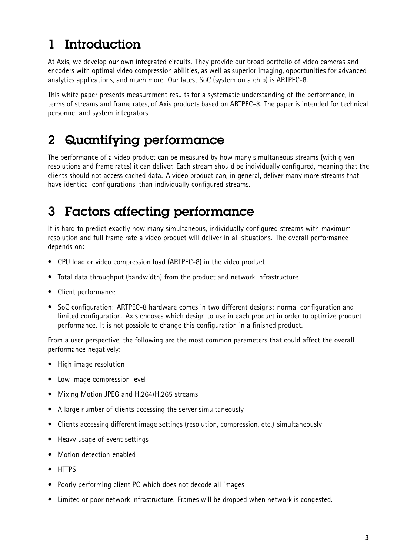### <span id="page-2-0"></span>1 Introduction

At Axis, we develop our own integrated circuits. They provide our broad portfolio of video cameras and encoders with optimal video compression abilities, as well as superior imaging, opportunities for advanced analytics applications, and much more. Our latest SoC (system on <sup>a</sup> chip) is ARTPEC-8.

This white paper presents measurement results for <sup>a</sup> systematic understanding of the performance, in terms of streams and frame rates, of Axis products based on ARTPEC-8. The paper is intended for technical personnel and system integrators.

### 2 Quantifying performance

The performance of <sup>a</sup> video product can be measured by how many simultaneous streams (with given resolutions and frame rates) it can deliver. Each stream should be individually configured, meaning that the clients should not access cached data. A video product can, in general, deliver many more streams that have identical configurations, than individually configured streams.

### 3 Factors affecting performance

It is hard to predict exactly how many simultaneous, individually configured streams with maximum resolution and full frame rate <sup>a</sup> video product will deliver in all situations. The overall performance depends on:

- CPU load or video compression load (ARTPEC-8) in the video product
- Total data throughput (bandwidth) from the product and network infrastructure
- •Client performance
- SoC configuration: ARTPEC-8 hardware comes in two different designs: normal configuration and limited configuration. Axis chooses which design to use in each product in order to optimize product performance. It is not possible to change this configuration in <sup>a</sup> finished product.

From <sup>a</sup> user perspective, the following are the most common parameters that could affect the overall performance negatively:

- •High image resolution
- •Low image compression level
- •Mixing Motion JPEG and H.264/H.265 streams
- •A large number of clients accessing the server simultaneously
- •Clients accessing different image settings (resolution, compression, etc.) simultaneously
- •Heavy usage of event settings
- •Motion detection enabled
- •**HTTPS**
- •Poorly performing client PC which does not decode all images
- Limited or poor network infrastructure. Frames will be dropped when network is congested.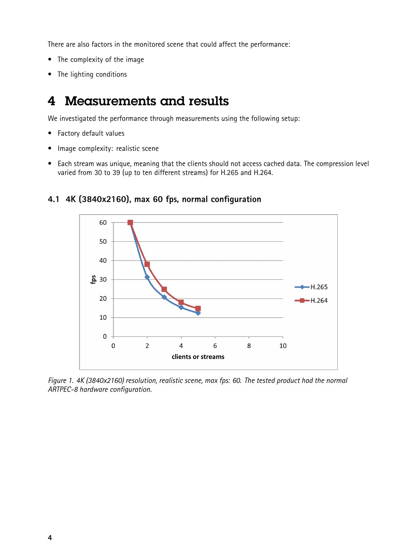<span id="page-3-0"></span>There are also factors in the monitored scene that could affect the performance:

- The complexity of the image
- The lighting conditions

### 4 Measurements and results

We investigated the performance through measurements using the following setup:

- Factory default values
- •Image complexity: realistic scene
- Each stream was unique, meaning that the clients should not access cached data. The compression level varied from <sup>30</sup> to <sup>39</sup> (up to ten different streams) for H.265 and H.264.



#### **4.1 4K (3840x2160), max <sup>60</sup> fps, normal configuration**

*Figure 1. 4K (3840x2160) resolution, realistic scene, max fps: 60. The tested product had the normal ARTPEC-8 hardware configuration.*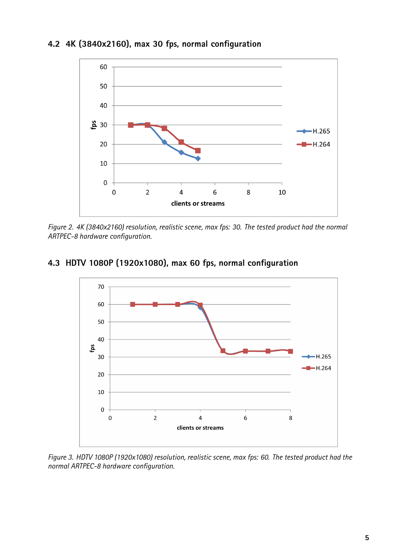#### <span id="page-4-0"></span>**4.2 4K (3840x2160), max <sup>30</sup> fps, normal configuration**



*Figure 2. 4K (3840x2160) resolution, realistic scene, max fps: 30. The tested product had the normal ARTPEC-8 hardware configuration.*

#### **4.3 HDTV 1080P (1920x1080), max <sup>60</sup> fps, normal configuration**



*Figure 3. HDTV 1080P (1920x1080) resolution, realistic scene, max fps: 60. The tested product had the normal ARTPEC-8 hardware configuration.*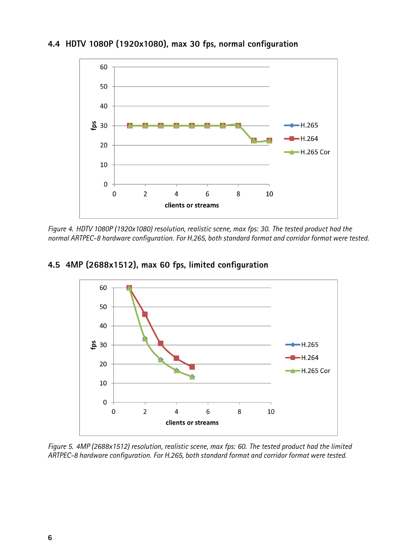

#### <span id="page-5-0"></span>**4.4 HDTV 1080P (1920x1080), max <sup>30</sup> fps, normal configuration**

*Figure 4. HDTV 1080P (1920x1080) resolution, realistic scene, max fps: 30. The tested product had the normal ARTPEC-8 hardware configuration. For H.265, both standard format and corridor format were tested.*

#### **4.5 4MP (2688x1512), max <sup>60</sup> fps, limited configuration**



*Figure 5. 4MP (2688x1512) resolution, realistic scene, max fps: 60. The tested product had the limited ARTPEC-8 hardware configuration. For H.265, both standard format and corridor format were tested.*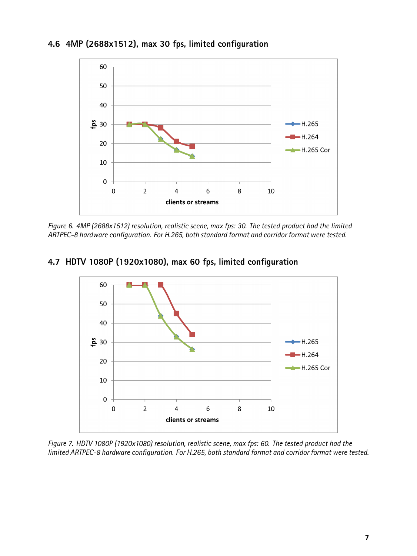#### <span id="page-6-0"></span>**4.6 4MP (2688x1512), max <sup>30</sup> fps, limited configuration**



*Figure 6. 4MP (2688x1512) resolution, realistic scene, max fps: 30. The tested product had the limited ARTPEC-8 hardware configuration. For H.265, both standard format and corridor format were tested.*

#### **4.7 HDTV 1080P (1920x1080), max <sup>60</sup> fps, limited configuration**



*Figure 7. HDTV 1080P (1920x1080) resolution, realistic scene, max fps: 60. The tested product had the limited ARTPEC-8 hardware configuration. For H.265, both standard format and corridor format were tested.*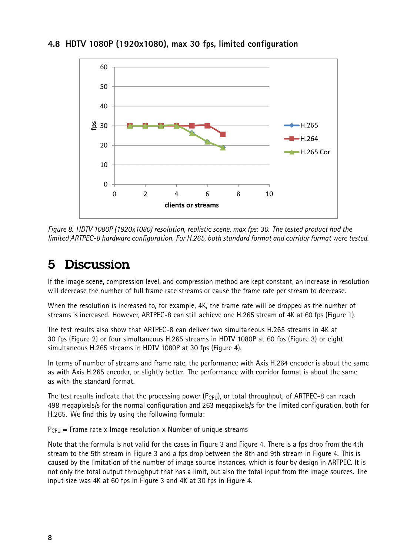#### <span id="page-7-0"></span>**4.8 HDTV 1080P (1920x1080), max <sup>30</sup> fps, limited configuration**



*Figure 8. HDTV 1080P (1920x1080) resolution, realistic scene, max fps: 30. The tested product had the limited ARTPEC-8 hardware configuration. For H.265, both standard format and corridor format were tested.*

### 5 Discussion

If the image scene, compression level, and compression method are kept constant, an increase in resolution will decrease the number of full frame rate streams or cause the frame rate per stream to decrease.

When the resolution is increased to, for example, 4K, the frame rate will be dropped as the number of streams is increased. However, ARTPEC-8 can still achieve one H.265 stream of 4K at <sup>60</sup> fps (Figure 1).

The test results also show that ARTPEC-8 can deliver two simultaneous H.265 streams in 4K at <sup>30</sup> fps (Figure 2) or four simultaneous H.265 streams in HDTV 1080P at <sup>60</sup> fps (Figure 3) or eight simultaneous H.265 streams in HDTV 1080P at <sup>30</sup> fps (Figure 4).

In terms of number of streams and frame rate, the performance with Axis H.264 encoder is about the same as with Axis H.265 encoder, or slightly better. The performance with corridor format is about the same as with the standard format.

The test results indicate that the processing power ( $P_{CPU}$ ), or total throughput, of ARTPEC-8 can reach <sup>498</sup> megapixels/s for the normal configuration and <sup>263</sup> megapixels/s for the limited configuration, both for H.265. We find this by using the following formula:

 $P_{CPU}$  = Frame rate x Image resolution x Number of unique streams

Note that the formula is not valid for the cases in Figure 3 and Figure 4. There is <sup>a</sup> fps drop from the 4th stream to the 5th stream in Figure 3 and <sup>a</sup> fps drop between the 8th and 9th stream in Figure 4. This is caused by the limitation of the number of image source instances, which is four by design in ARTPEC. It is not only the total output throughput that has <sup>a</sup> limit, but also the total input from the image sources. The input size was 4K at 60 fps in Figure 3 and 4K at 30 fps in Figure 4.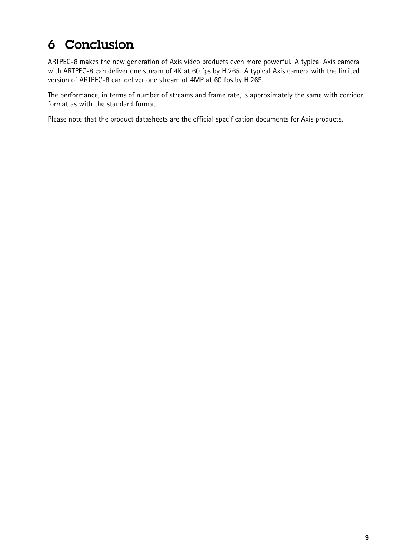### <span id="page-8-0"></span>6 Conclusion

ARTPEC-8 makes the new generation of Axis video products even more powerful. A typical Axis camera with ARTPEC-8 can deliver one stream of 4K at 60 fps by H.265. A typical Axis camera with the limited version of ARTPEC-8 can deliver one stream of 4MP at 60 fps by H.265.

The performance, in terms of number of streams and frame rate, is approximately the same with corridor format as with the standard format.

Please note that the product datasheets are the official specification documents for Axis products.